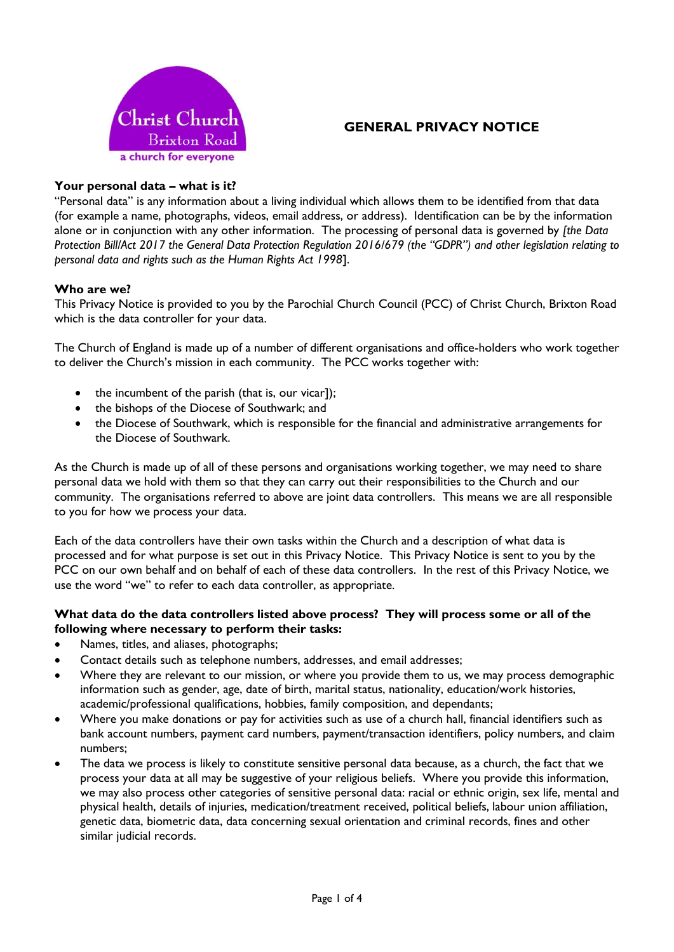

# **GENERAL PRIVACY NOTICE**

# **Your personal data – what is it?**

"Personal data" is any information about a living individual which allows them to be identified from that data (for example a name, photographs, videos, email address, or address). Identification can be by the information alone or in conjunction with any other information. The processing of personal data is governed by *[the Data Protection Bill/Act 2017 the General Data Protection Regulation 2016/679 (the "GDPR") and other legislation relating to personal data and rights such as the Human Rights Act 1998*].

### **Who are we?**

This Privacy Notice is provided to you by the Parochial Church Council (PCC) of Christ Church, Brixton Road which is the data controller for your data.

The Church of England is made up of a number of different organisations and office-holders who work together to deliver the Church's mission in each community. The PCC works together with:

- the incumbent of the parish (that is, our vicar]);
- the bishops of the Diocese of Southwark; and
- the Diocese of Southwark, which is responsible for the financial and administrative arrangements for the Diocese of Southwark.

As the Church is made up of all of these persons and organisations working together, we may need to share personal data we hold with them so that they can carry out their responsibilities to the Church and our community. The organisations referred to above are joint data controllers. This means we are all responsible to you for how we process your data.

Each of the data controllers have their own tasks within the Church and a description of what data is processed and for what purpose is set out in this Privacy Notice. This Privacy Notice is sent to you by the PCC on our own behalf and on behalf of each of these data controllers. In the rest of this Privacy Notice, we use the word "we" to refer to each data controller, as appropriate.

### **What data do the data controllers listed above process? They will process some or all of the following where necessary to perform their tasks:**

- Names, titles, and aliases, photographs;
- Contact details such as telephone numbers, addresses, and email addresses;
- Where they are relevant to our mission, or where you provide them to us, we may process demographic information such as gender, age, date of birth, marital status, nationality, education/work histories, academic/professional qualifications, hobbies, family composition, and dependants;
- Where you make donations or pay for activities such as use of a church hall, financial identifiers such as bank account numbers, payment card numbers, payment/transaction identifiers, policy numbers, and claim numbers;
- The data we process is likely to constitute sensitive personal data because, as a church, the fact that we process your data at all may be suggestive of your religious beliefs. Where you provide this information, we may also process other categories of sensitive personal data: racial or ethnic origin, sex life, mental and physical health, details of injuries, medication/treatment received, political beliefs, labour union affiliation, genetic data, biometric data, data concerning sexual orientation and criminal records, fines and other similar judicial records.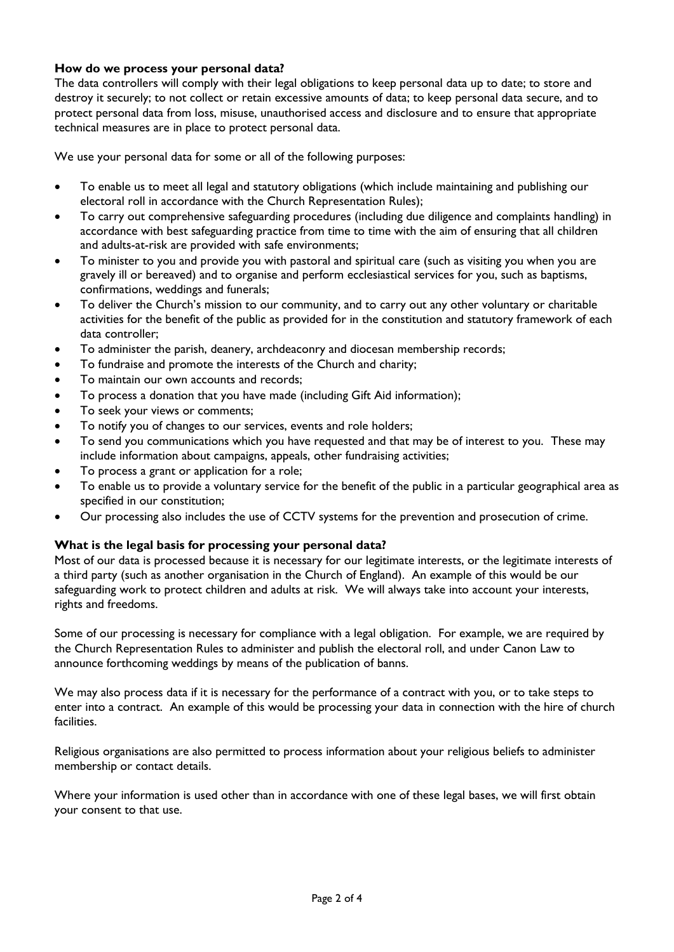# **How do we process your personal data?**

The data controllers will comply with their legal obligations to keep personal data up to date; to store and destroy it securely; to not collect or retain excessive amounts of data; to keep personal data secure, and to protect personal data from loss, misuse, unauthorised access and disclosure and to ensure that appropriate technical measures are in place to protect personal data.

We use your personal data for some or all of the following purposes:

- To enable us to meet all legal and statutory obligations (which include maintaining and publishing our electoral roll in accordance with the Church Representation Rules);
- To carry out comprehensive safeguarding procedures (including due diligence and complaints handling) in accordance with best safeguarding practice from time to time with the aim of ensuring that all children and adults-at-risk are provided with safe environments;
- To minister to you and provide you with pastoral and spiritual care (such as visiting you when you are gravely ill or bereaved) and to organise and perform ecclesiastical services for you, such as baptisms, confirmations, weddings and funerals;
- To deliver the Church's mission to our community, and to carry out any other voluntary or charitable activities for the benefit of the public as provided for in the constitution and statutory framework of each data controller;
- To administer the parish, deanery, archdeaconry and diocesan membership records;
- To fundraise and promote the interests of the Church and charity;
- To maintain our own accounts and records;
- To process a donation that you have made (including Gift Aid information);
- To seek your views or comments;
- To notify you of changes to our services, events and role holders;
- To send you communications which you have requested and that may be of interest to you. These may include information about campaigns, appeals, other fundraising activities;
- To process a grant or application for a role;
- To enable us to provide a voluntary service for the benefit of the public in a particular geographical area as specified in our constitution;
- Our processing also includes the use of CCTV systems for the prevention and prosecution of crime.

# **What is the legal basis for processing your personal data?**

Most of our data is processed because it is necessary for our legitimate interests, or the legitimate interests of a third party (such as another organisation in the Church of England). An example of this would be our safeguarding work to protect children and adults at risk. We will always take into account your interests, rights and freedoms.

Some of our processing is necessary for compliance with a legal obligation. For example, we are required by the Church Representation Rules to administer and publish the electoral roll, and under Canon Law to announce forthcoming weddings by means of the publication of banns.

We may also process data if it is necessary for the performance of a contract with you, or to take steps to enter into a contract. An example of this would be processing your data in connection with the hire of church facilities.

Religious organisations are also permitted to process information about your religious beliefs to administer membership or contact details.

Where your information is used other than in accordance with one of these legal bases, we will first obtain your consent to that use.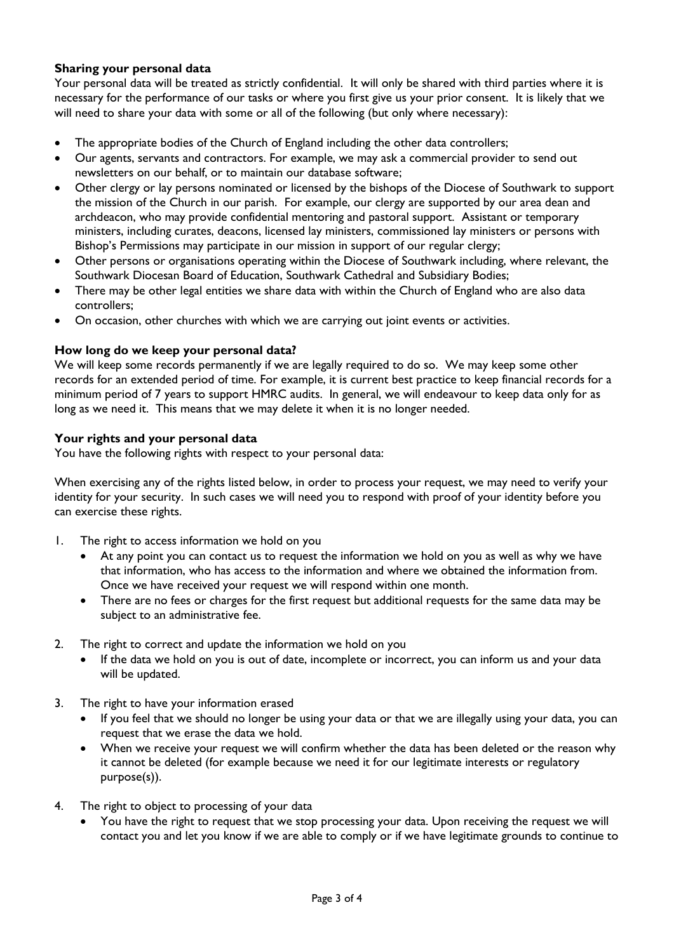# **Sharing your personal data**

Your personal data will be treated as strictly confidential. It will only be shared with third parties where it is necessary for the performance of our tasks or where you first give us your prior consent. It is likely that we will need to share your data with some or all of the following (but only where necessary):

- The appropriate bodies of the Church of England including the other data controllers;
- Our agents, servants and contractors. For example, we may ask a commercial provider to send out newsletters on our behalf, or to maintain our database software;
- Other clergy or lay persons nominated or licensed by the bishops of the Diocese of Southwark to support the mission of the Church in our parish. For example, our clergy are supported by our area dean and archdeacon, who may provide confidential mentoring and pastoral support. Assistant or temporary ministers, including curates, deacons, licensed lay ministers, commissioned lay ministers or persons with Bishop's Permissions may participate in our mission in support of our regular clergy;
- Other persons or organisations operating within the Diocese of Southwark including, where relevant, the Southwark Diocesan Board of Education, Southwark Cathedral and Subsidiary Bodies;
- There may be other legal entities we share data with within the Church of England who are also data controllers;
- On occasion, other churches with which we are carrying out joint events or activities.

#### **How long do we keep your personal data?**

We will keep some records permanently if we are legally required to do so. We may keep some other records for an extended period of time. For example, it is current best practice to keep financial records for a minimum period of 7 years to support HMRC audits. In general, we will endeavour to keep data only for as long as we need it. This means that we may delete it when it is no longer needed.

#### **Your rights and your personal data**

You have the following rights with respect to your personal data:

When exercising any of the rights listed below, in order to process your request, we may need to verify your identity for your security. In such cases we will need you to respond with proof of your identity before you can exercise these rights.

- 1. The right to access information we hold on you
	- At any point you can contact us to request the information we hold on you as well as why we have that information, who has access to the information and where we obtained the information from. Once we have received your request we will respond within one month.
	- There are no fees or charges for the first request but additional requests for the same data may be subject to an administrative fee.
- 2. The right to correct and update the information we hold on you
	- If the data we hold on you is out of date, incomplete or incorrect, you can inform us and your data will be updated.
- 3. The right to have your information erased
	- If you feel that we should no longer be using your data or that we are illegally using your data, you can request that we erase the data we hold.
	- When we receive your request we will confirm whether the data has been deleted or the reason why it cannot be deleted (for example because we need it for our legitimate interests or regulatory purpose(s)).
- 4. The right to object to processing of your data
	- You have the right to request that we stop processing your data. Upon receiving the request we will contact you and let you know if we are able to comply or if we have legitimate grounds to continue to